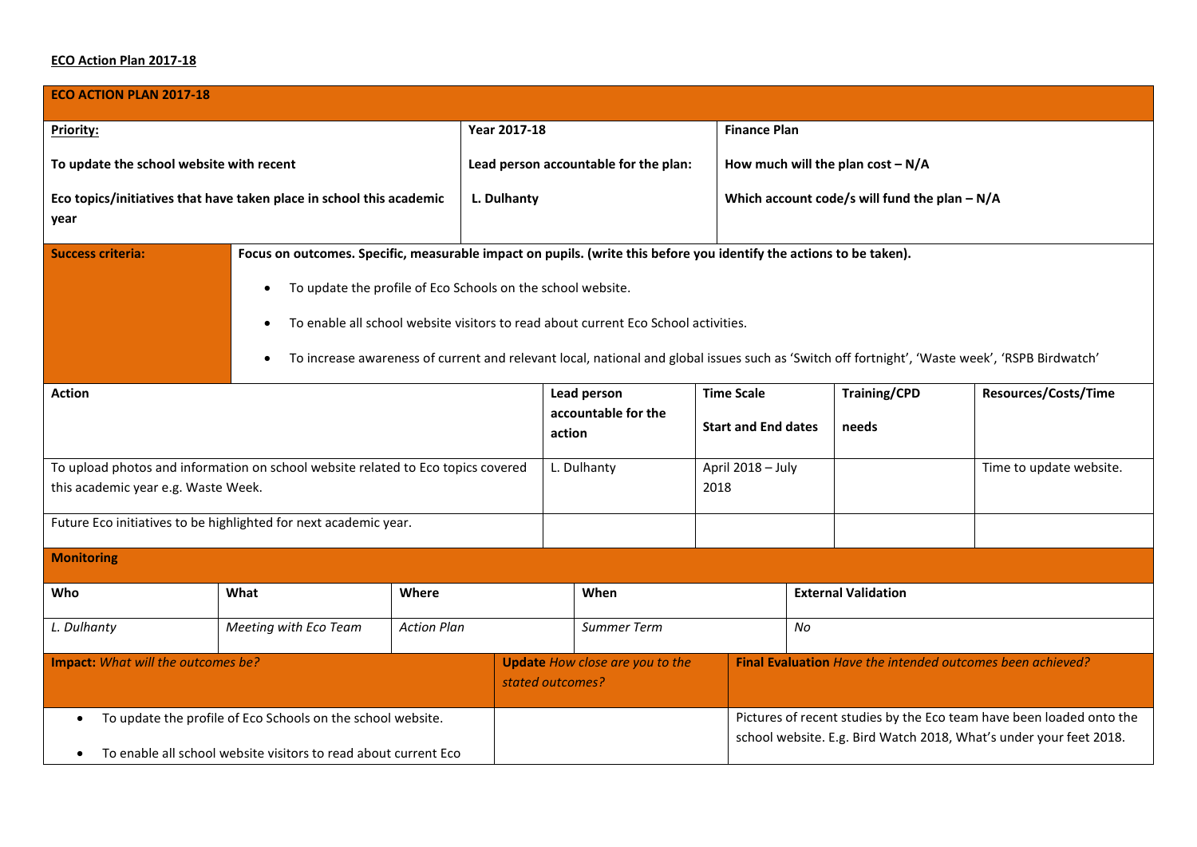## **ECO Action Plan 2017-18**

| <b>ECO ACTION PLAN 2017-18</b>                                                                                          |                                                                                                                                                             |                    |                                       |                                                                                                                     |  |                                                                      |                                                                    |                            |                             |  |
|-------------------------------------------------------------------------------------------------------------------------|-------------------------------------------------------------------------------------------------------------------------------------------------------------|--------------------|---------------------------------------|---------------------------------------------------------------------------------------------------------------------|--|----------------------------------------------------------------------|--------------------------------------------------------------------|----------------------------|-----------------------------|--|
| <b>Priority:</b>                                                                                                        |                                                                                                                                                             |                    | Year 2017-18                          |                                                                                                                     |  | <b>Finance Plan</b>                                                  |                                                                    |                            |                             |  |
| To update the school website with recent                                                                                |                                                                                                                                                             |                    | Lead person accountable for the plan: |                                                                                                                     |  | How much will the plan $cost - N/A$                                  |                                                                    |                            |                             |  |
| Eco topics/initiatives that have taken place in school this academic<br>year                                            |                                                                                                                                                             |                    | L. Dulhanty                           |                                                                                                                     |  | Which account code/s will fund the plan $- N/A$                      |                                                                    |                            |                             |  |
| <b>Success criteria:</b>                                                                                                |                                                                                                                                                             |                    |                                       | Focus on outcomes. Specific, measurable impact on pupils. (write this before you identify the actions to be taken). |  |                                                                      |                                                                    |                            |                             |  |
|                                                                                                                         | To update the profile of Eco Schools on the school website.                                                                                                 |                    |                                       |                                                                                                                     |  |                                                                      |                                                                    |                            |                             |  |
|                                                                                                                         | To enable all school website visitors to read about current Eco School activities.<br>$\bullet$                                                             |                    |                                       |                                                                                                                     |  |                                                                      |                                                                    |                            |                             |  |
|                                                                                                                         | To increase awareness of current and relevant local, national and global issues such as 'Switch off fortnight', 'Waste week', 'RSPB Birdwatch'<br>$\bullet$ |                    |                                       |                                                                                                                     |  |                                                                      |                                                                    |                            |                             |  |
| <b>Action</b>                                                                                                           |                                                                                                                                                             |                    |                                       | Lead person                                                                                                         |  | <b>Time Scale</b>                                                    |                                                                    | <b>Training/CPD</b>        | <b>Resources/Costs/Time</b> |  |
|                                                                                                                         |                                                                                                                                                             |                    |                                       | accountable for the<br>action                                                                                       |  | <b>Start and End dates</b>                                           |                                                                    | needs                      |                             |  |
| To upload photos and information on school website related to Eco topics covered<br>this academic year e.g. Waste Week. |                                                                                                                                                             |                    |                                       | L. Dulhanty                                                                                                         |  | April 2018 - July<br>2018                                            |                                                                    |                            | Time to update website.     |  |
| Future Eco initiatives to be highlighted for next academic year.                                                        |                                                                                                                                                             |                    |                                       |                                                                                                                     |  |                                                                      |                                                                    |                            |                             |  |
| <b>Monitoring</b>                                                                                                       |                                                                                                                                                             |                    |                                       |                                                                                                                     |  |                                                                      |                                                                    |                            |                             |  |
| Who                                                                                                                     | What                                                                                                                                                        | Where              |                                       | When                                                                                                                |  |                                                                      |                                                                    | <b>External Validation</b> |                             |  |
| L. Dulhanty                                                                                                             | Meeting with Eco Team                                                                                                                                       | <b>Action Plan</b> |                                       | Summer Term                                                                                                         |  | No                                                                   |                                                                    |                            |                             |  |
| Impact: What will the outcomes be?                                                                                      |                                                                                                                                                             |                    |                                       | <b>Update</b> How close are you to the<br>stated outcomes?                                                          |  | Final Evaluation Have the intended outcomes been achieved?           |                                                                    |                            |                             |  |
| To update the profile of Eco Schools on the school website.<br>$\bullet$                                                |                                                                                                                                                             |                    |                                       |                                                                                                                     |  | Pictures of recent studies by the Eco team have been loaded onto the |                                                                    |                            |                             |  |
| To enable all school website visitors to read about current Eco<br>$\bullet$                                            |                                                                                                                                                             |                    |                                       |                                                                                                                     |  |                                                                      | school website. E.g. Bird Watch 2018, What's under your feet 2018. |                            |                             |  |